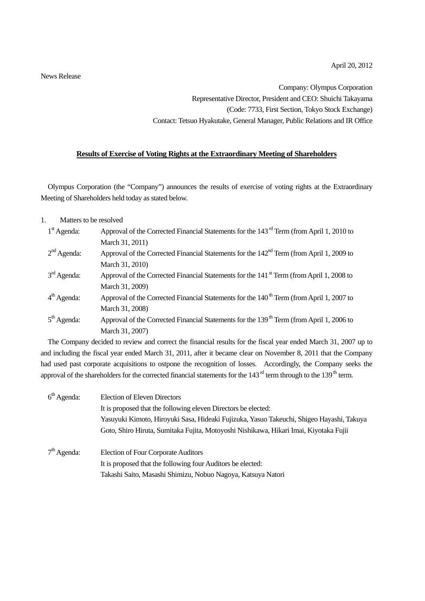News Release

Company: Olympus Corporation Representative Director, President and CEO: Shuichi Takayama (Code: 7733, First Section, Tokyo Stock Exchange) Contact: Tetsuo Hyakutake, General Manager, Public Relations and IR Office

## **Results of Exercise of Voting Rights at the Extraordinary Meeting of Shareholders**

Olympus Corporation (the "Company") announces the results of exercise of voting rights at the Extraordinary Meeting of Shareholders held today as stated below.

## 1. Matters to be resolved

| $1st$ Agenda: | Approval of the Corrected Financial Statements for the 143 <sup>rd</sup> Term (from April 1, 2010 to |  |  |  |  |
|---------------|------------------------------------------------------------------------------------------------------|--|--|--|--|
|               | March 31, 2011)                                                                                      |  |  |  |  |
| $2nd$ Agenda: | Approval of the Corrected Financial Statements for the 142 <sup>nd</sup> Term (from April 1, 2009 to |  |  |  |  |
|               | March 31, 2010)                                                                                      |  |  |  |  |
| $3rd$ Agenda: | Approval of the Corrected Financial Statements for the 141 <sup>st</sup> Term (from April 1, 2008 to |  |  |  |  |
|               | March 31, 2009)                                                                                      |  |  |  |  |
| $4th$ Agenda: | Approval of the Corrected Financial Statements for the 140 <sup>th</sup> Term (from April 1, 2007 to |  |  |  |  |
|               | March 31, 2008)                                                                                      |  |  |  |  |
| $5th$ Agenda: | Approval of the Corrected Financial Statements for the 139 <sup>th</sup> Term (from April 1, 2006 to |  |  |  |  |
|               | March 31, 2007)                                                                                      |  |  |  |  |

The Company decided to review and correct the financial results for the fiscal year ended March 31, 2007 up to and including the fiscal year ended March 31, 2011, after it became clear on November 8, 2011 that the Company had used past corporate acquisitions to ostpone the recognition of losses. Accordingly, the Company seeks the approval of the shareholders for the corrected financial statements for the  $143<sup>rd</sup>$  term through to the  $139<sup>th</sup>$  term.

| $6th$ Agenda: | <b>Election of Eleven Directors</b>                                                      |  |  |  |  |  |
|---------------|------------------------------------------------------------------------------------------|--|--|--|--|--|
|               | It is proposed that the following eleven Directors be elected:                           |  |  |  |  |  |
|               | Yasuyuki Kimoto, Hiroyuki Sasa, Hideaki Fujizuka, Yasuo Takeuchi, Shigeo Hayashi, Takuya |  |  |  |  |  |
|               | Goto, Shiro Hiruta, Sumitaka Fujita, Motoyoshi Nishikawa, Hikari Imai, Kiyotaka Fujii    |  |  |  |  |  |
|               |                                                                                          |  |  |  |  |  |
| $7th$ Agenda: | <b>Election of Four Corporate Auditors</b>                                               |  |  |  |  |  |
|               | It is proposed that the following four Auditors be elected:                              |  |  |  |  |  |
|               | Takashi Saito, Masashi Shimizu, Nobuo Nagoya, Katsuya Natori                             |  |  |  |  |  |
|               |                                                                                          |  |  |  |  |  |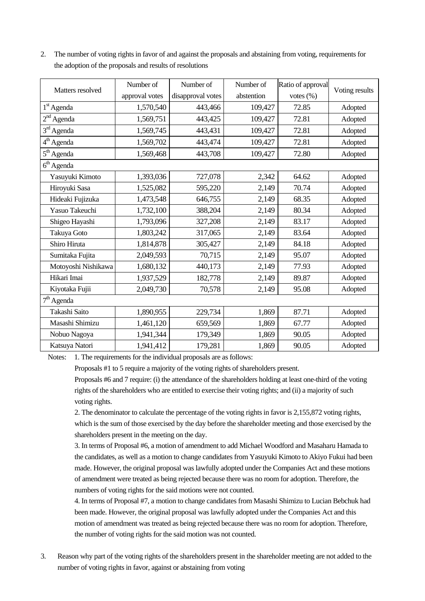|                        | Number of      | Number of         | Number of  | Ratio of approval | Voting results |  |  |  |
|------------------------|----------------|-------------------|------------|-------------------|----------------|--|--|--|
| Matters resolved       | approval votes | disapproval votes | abstention | votes $(\%)$      |                |  |  |  |
| 1 <sup>st</sup> Agenda | 1,570,540      | 443,466           | 109,427    | 72.85             | Adopted        |  |  |  |
| $2nd$ Agenda           | 1,569,751      | 443,425           | 109,427    | 72.81             | Adopted        |  |  |  |
| $3rd$ Agenda           | 1,569,745      | 443,431           | 109,427    | 72.81             | Adopted        |  |  |  |
| 4 <sup>th</sup> Agenda | 1,569,702      | 443,474           | 109,427    | 72.81             | Adopted        |  |  |  |
| 5 <sup>th</sup> Agenda | 1,569,468      | 443,708           | 109,427    | 72.80             | Adopted        |  |  |  |
| 6 <sup>th</sup> Agenda |                |                   |            |                   |                |  |  |  |
| Yasuyuki Kimoto        | 1,393,036      | 727,078           | 2,342      | 64.62             | Adopted        |  |  |  |
| Hiroyuki Sasa          | 1,525,082      | 595,220           | 2,149      | 70.74             | Adopted        |  |  |  |
| Hideaki Fujizuka       | 1,473,548      | 646,755           | 2,149      | 68.35             | Adopted        |  |  |  |
| Yasuo Takeuchi         | 1,732,100      | 388,204           | 2,149      | 80.34             | Adopted        |  |  |  |
| Shigeo Hayashi         | 1,793,096      | 327,208           | 2,149      | 83.17             | Adopted        |  |  |  |
| Takuya Goto            | 1,803,242      | 317,065           | 2,149      | 83.64             | Adopted        |  |  |  |
| Shiro Hiruta           | 1,814,878      | 305,427           | 2,149      | 84.18             | Adopted        |  |  |  |
| Sumitaka Fujita        | 2,049,593      | 70,715            | 2,149      | 95.07             | Adopted        |  |  |  |
| Motoyoshi Nishikawa    | 1,680,132      | 440,173           | 2,149      | 77.93             | Adopted        |  |  |  |
| Hikari Imai            | 1,937,529      | 182,778           | 2,149      | 89.87             | Adopted        |  |  |  |
| Kiyotaka Fujii         | 2,049,730      | 70,578            | 2,149      | 95.08             | Adopted        |  |  |  |
| $7th$ Agenda           |                |                   |            |                   |                |  |  |  |
| Takashi Saito          | 1,890,955      | 229,734           | 1,869      | 87.71             | Adopted        |  |  |  |
| Masashi Shimizu        | 1,461,120      | 659,569           | 1,869      | 67.77             | Adopted        |  |  |  |
| Nobuo Nagoya           | 1,941,344      | 179,349           | 1,869      | 90.05             | Adopted        |  |  |  |
| Katsuya Natori         | 1,941,412      | 179,281           | 1,869      | 90.05             | Adopted        |  |  |  |

2. The number of voting rights in favor of and against the proposals and abstaining from voting, requirements for the adoption of the proposals and results of resolutions

Notes: 1. The requirements for the individual proposals are as follows:

Proposals #1 to 5 require a majority of the voting rights of shareholders present.

Proposals #6 and 7 require: (i) the attendance of the shareholders holding at least one-third of the voting rights of the shareholders who are entitled to exercise their voting rights; and (ii) a majority of such voting rights.

2. The denominator to calculate the percentage of the voting rights in favor is 2,155,872 voting rights, which is the sum of those exercised by the day before the shareholder meeting and those exercised by the shareholders present in the meeting on the day.

3. In terms of Proposal #6, a motion of amendment to add Michael Woodford and Masaharu Hamada to the candidates, as well as a motion to change candidates from Yasuyuki Kimoto to Akiyo Fukui had been made. However, the original proposal was lawfully adopted under the Companies Act and these motions of amendment were treated as being rejected because there was no room for adoption. Therefore, the numbers of voting rights for the said motions were not counted.

4. In terms of Proposal #7, a motion to change candidates from Masashi Shimizu to Lucian Bebchuk had been made. However, the original proposal was lawfully adopted under the Companies Act and this motion of amendment was treated as being rejected because there was no room for adoption. Therefore, the number of voting rights for the said motion was not counted.

3. Reason why part of the voting rights of the shareholders present in the shareholder meeting are not added to the number of voting rights in favor, against or abstaining from voting